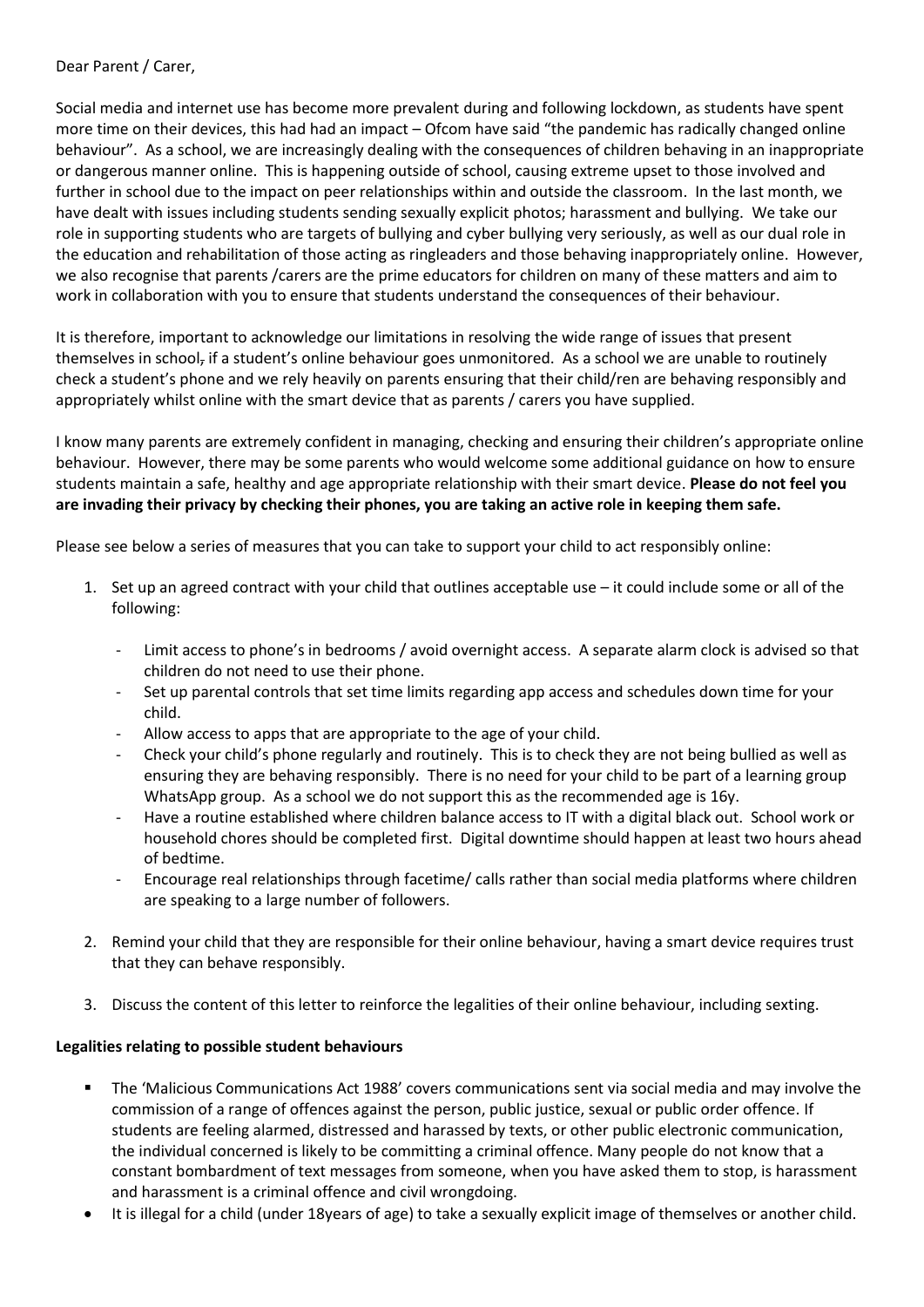## Dear Parent / Carer,

Social media and internet use has become more prevalent during and following lockdown, as students have spent more time on their devices, this had had an impact – Ofcom have said "the pandemic has radically changed online behaviour". As a school, we are increasingly dealing with the consequences of children behaving in an inappropriate or dangerous manner online. This is happening outside of school, causing extreme upset to those involved and further in school due to the impact on peer relationships within and outside the classroom. In the last month, we have dealt with issues including students sending sexually explicit photos; harassment and bullying. We take our role in supporting students who are targets of bullying and cyber bullying very seriously, as well as our dual role in the education and rehabilitation of those acting as ringleaders and those behaving inappropriately online. However, we also recognise that parents /carers are the prime educators for children on many of these matters and aim to work in collaboration with you to ensure that students understand the consequences of their behaviour.

It is therefore, important to acknowledge our limitations in resolving the wide range of issues that present themselves in school, if a student's online behaviour goes unmonitored. As a school we are unable to routinely check a student's phone and we rely heavily on parents ensuring that their child/ren are behaving responsibly and appropriately whilst online with the smart device that as parents / carers you have supplied.

I know many parents are extremely confident in managing, checking and ensuring their children's appropriate online behaviour. However, there may be some parents who would welcome some additional guidance on how to ensure students maintain a safe, healthy and age appropriate relationship with their smart device. **Please do not feel you are invading their privacy by checking their phones, you are taking an active role in keeping them safe.**

Please see below a series of measures that you can take to support your child to act responsibly online:

- 1. Set up an agreed contract with your child that outlines acceptable use it could include some or all of the following:
	- Limit access to phone's in bedrooms / avoid overnight access. A separate alarm clock is advised so that children do not need to use their phone.
	- Set up parental controls that set time limits regarding app access and schedules down time for your child.
	- Allow access to apps that are appropriate to the age of your child.
	- Check your child's phone regularly and routinely. This is to check they are not being bullied as well as ensuring they are behaving responsibly. There is no need for your child to be part of a learning group WhatsApp group. As a school we do not support this as the recommended age is 16y.
	- Have a routine established where children balance access to IT with a digital black out. School work or household chores should be completed first. Digital downtime should happen at least two hours ahead of bedtime.
	- Encourage real relationships through facetime/ calls rather than social media platforms where children are speaking to a large number of followers.
- 2. Remind your child that they are responsible for their online behaviour, having a smart device requires trust that they can behave responsibly.
- 3. Discuss the content of this letter to reinforce the legalities of their online behaviour, including sexting.

## **Legalities relating to possible student behaviours**

- The 'Malicious Communications Act 1988' covers communications sent via social media and may involve the commission of a range of offences against the person, public justice, sexual or public order offence. If students are feeling alarmed, distressed and harassed by texts, or other public electronic communication, the individual concerned is likely to be committing a criminal offence. Many people do not know that a constant bombardment of text messages from someone, when you have asked them to stop, is harassment and harassment is a criminal offence and civil wrongdoing.
- It is illegal for a child (under 18years of age) to take a sexually explicit image of themselves or another child.